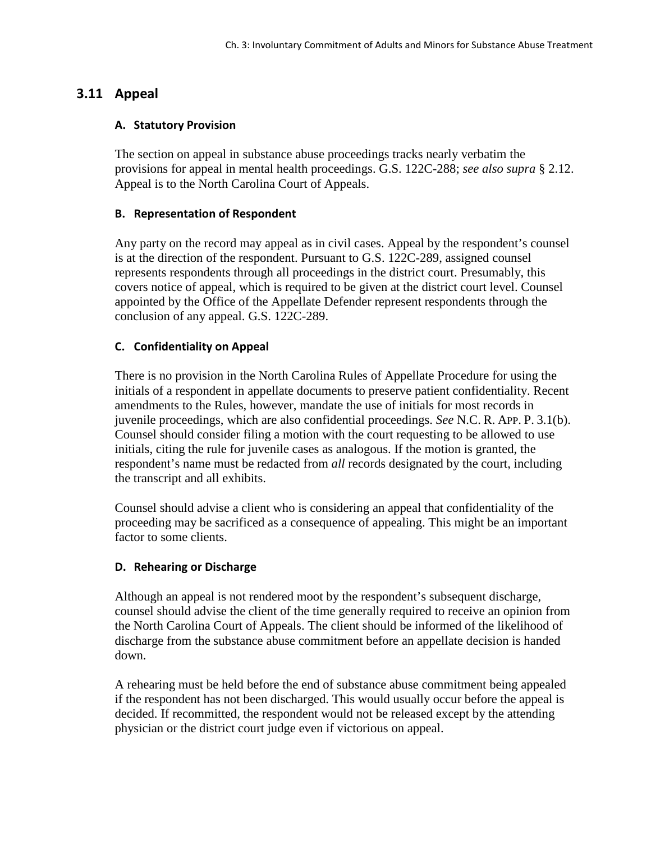# **3.11 Appeal**

#### **A. Statutory Provision**

The section on appeal in substance abuse proceedings tracks nearly verbatim the provisions for appeal in mental health proceedings. G.S. 122C-288; *see also supra* § 2.12. Appeal is to the North Carolina Court of Appeals.

#### **B. Representation of Respondent**

Any party on the record may appeal as in civil cases. Appeal by the respondent's counsel is at the direction of the respondent. Pursuant to G.S. 122C-289, assigned counsel represents respondents through all proceedings in the district court. Presumably, this covers notice of appeal, which is required to be given at the district court level. Counsel appointed by the Office of the Appellate Defender represent respondents through the conclusion of any appeal. G.S. 122C-289.

#### **C. Confidentiality on Appeal**

There is no provision in the North Carolina Rules of Appellate Procedure for using the initials of a respondent in appellate documents to preserve patient confidentiality. Recent amendments to the Rules, however, mandate the use of initials for most records in juvenile proceedings, which are also confidential proceedings. *See* N.C. R. APP. P. 3.1(b). Counsel should consider filing a motion with the court requesting to be allowed to use initials, citing the rule for juvenile cases as analogous. If the motion is granted, the respondent's name must be redacted from *all* records designated by the court, including the transcript and all exhibits.

Counsel should advise a client who is considering an appeal that confidentiality of the proceeding may be sacrificed as a consequence of appealing. This might be an important factor to some clients.

### **D. Rehearing or Discharge**

Although an appeal is not rendered moot by the respondent's subsequent discharge, counsel should advise the client of the time generally required to receive an opinion from the North Carolina Court of Appeals. The client should be informed of the likelihood of discharge from the substance abuse commitment before an appellate decision is handed down.

A rehearing must be held before the end of substance abuse commitment being appealed if the respondent has not been discharged. This would usually occur before the appeal is decided. If recommitted, the respondent would not be released except by the attending physician or the district court judge even if victorious on appeal.